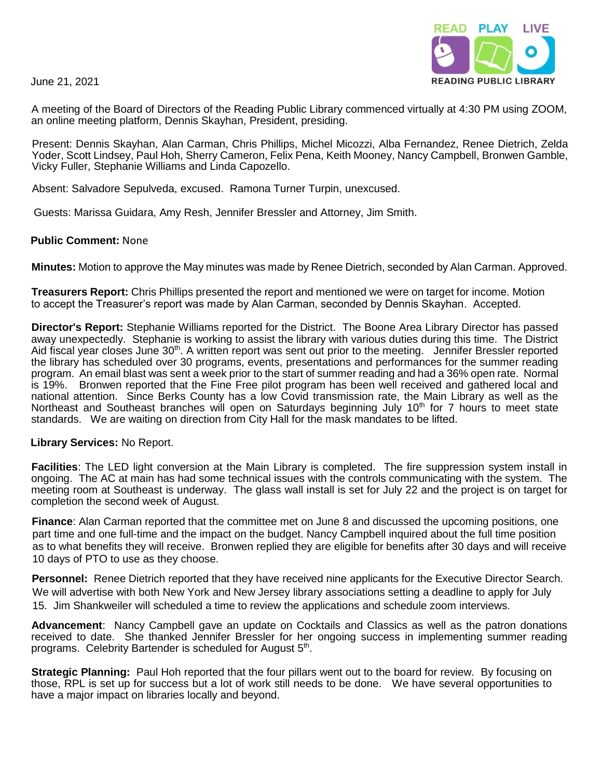June 21, 2021



A meeting of the Board of Directors of the Reading Public Library commenced virtually at 4:30 PM using ZOOM, an online meeting platform, Dennis Skayhan, President, presiding.

Present: Dennis Skayhan, Alan Carman, Chris Phillips, Michel Micozzi, Alba Fernandez, Renee Dietrich, Zelda Yoder, Scott Lindsey, Paul Hoh, Sherry Cameron, Felix Pena, Keith Mooney, Nancy Campbell, Bronwen Gamble, Vicky Fuller, Stephanie Williams and Linda Capozello.

Absent: Salvadore Sepulveda, excused. Ramona Turner Turpin, unexcused.

Guests: Marissa Guidara, Amy Resh, Jennifer Bressler and Attorney, Jim Smith.

## **Public Comment:** None

**Minutes:** Motion to approve the May minutes was made by Renee Dietrich, seconded by Alan Carman. Approved.

**Treasurers Report:** Chris Phillips presented the report and mentioned we were on target for income. Motion to accept the Treasurer's report was made by Alan Carman, seconded by Dennis Skayhan. Accepted.

**Director's Report:** Stephanie Williams reported for the District. The Boone Area Library Director has passed away unexpectedly. Stephanie is working to assist the library with various duties during this time. The District Aid fiscal year closes June 30<sup>th</sup>. A written report was sent out prior to the meeting. Jennifer Bressler reported the library has scheduled over 30 programs, events, presentations and performances for the summer reading program. An email blast was sent a week prior to the start of summer reading and had a 36% open rate. Normal is 19%. Bronwen reported that the Fine Free pilot program has been well received and gathered local and national attention. Since Berks County has a low Covid transmission rate, the Main Library as well as the Northeast and Southeast branches will open on Saturdays beginning July  $10<sup>th</sup>$  for 7 hours to meet state standards. We are waiting on direction from City Hall for the mask mandates to be lifted.

## **Library Services:** No Report.

**Facilities**: The LED light conversion at the Main Library is completed. The fire suppression system install in ongoing. The AC at main has had some technical issues with the controls communicating with the system. The meeting room at Southeast is underway. The glass wall install is set for July 22 and the project is on target for completion the second week of August.

**Finance**: Alan Carman reported that the committee met on June 8 and discussed the upcoming positions, one part time and one full-time and the impact on the budget. Nancy Campbell inquired about the full time position as to what benefits they will receive. Bronwen replied they are eligible for benefits after 30 days and will receive 10 days of PTO to use as they choose.

**Personnel:** Renee Dietrich reported that they have received nine applicants for the Executive Director Search. We will advertise with both New York and New Jersey library associations setting a deadline to apply for July 15. Jim Shankweiler will scheduled a time to review the applications and schedule zoom interviews.

**Advancement**: Nancy Campbell gave an update on Cocktails and Classics as well as the patron donations received to date. She thanked Jennifer Bressler for her ongoing success in implementing summer reading programs. Celebrity Bartender is scheduled for August 5<sup>th</sup>.

**Strategic Planning:** Paul Hoh reported that the four pillars went out to the board for review. By focusing on those, RPL is set up for success but a lot of work still needs to be done. We have several opportunities to have a major impact on libraries locally and beyond.